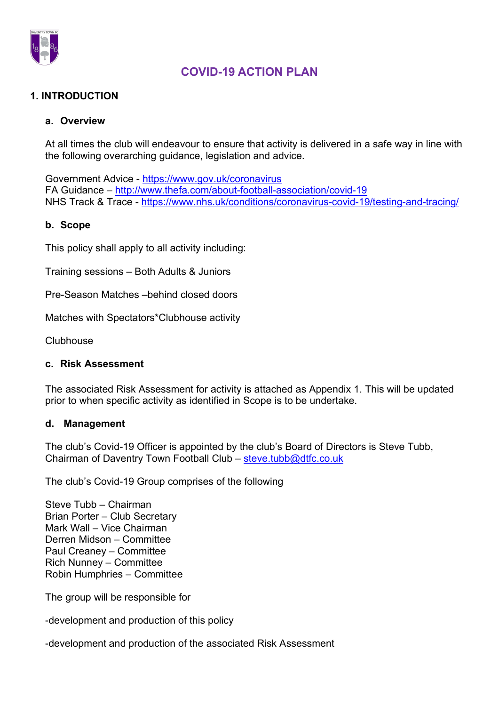

#### 1. INTRODUCTION

#### a. Overview

At all times the club will endeavour to ensure that activity is delivered in a safe way in line with the following overarching guidance, legislation and advice.

Government Advice - https://www.gov.uk/coronavirus FA Guidance – http://www.thefa.com/about-football-association/covid-19 NHS Track & Trace - https://www.nhs.uk/conditions/coronavirus-covid-19/testing-and-tracing/

#### b. Scope

This policy shall apply to all activity including:

Training sessions – Both Adults & Juniors

Pre-Season Matches –behind closed doors

Matches with Spectators\*Clubhouse activity

**Clubhouse** 

#### c. Risk Assessment

The associated Risk Assessment for activity is attached as Appendix 1. This will be updated prior to when specific activity as identified in Scope is to be undertake.

#### d. Management

The club's Covid-19 Officer is appointed by the club's Board of Directors is Steve Tubb, Chairman of Daventry Town Football Club – steve.tubb@dtfc.co.uk

The club's Covid-19 Group comprises of the following

Steve Tubb – Chairman Brian Porter – Club Secretary Mark Wall – Vice Chairman Derren Midson – Committee Paul Creaney – Committee Rich Nunney – Committee Robin Humphries – Committee

The group will be responsible for

-development and production of this policy

-development and production of the associated Risk Assessment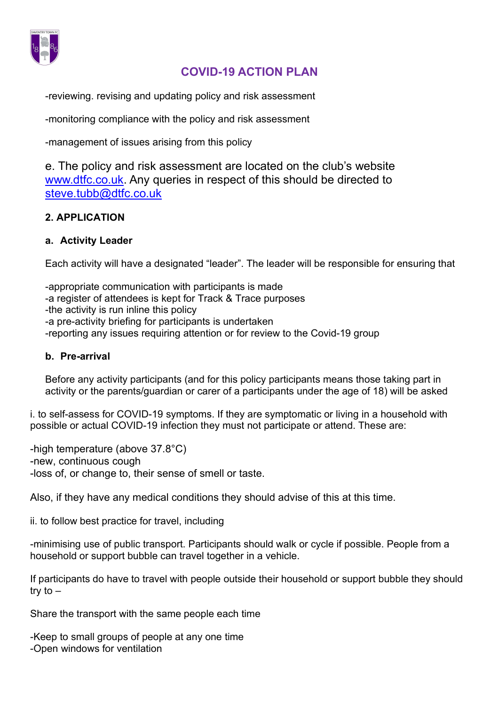

-reviewing. revising and updating policy and risk assessment

-monitoring compliance with the policy and risk assessment

-management of issues arising from this policy

e. The policy and risk assessment are located on the club's website www.dtfc.co.uk. Any queries in respect of this should be directed to steve.tubb@dtfc.co.uk

#### 2. APPLICATION

#### a. Activity Leader

Each activity will have a designated "leader". The leader will be responsible for ensuring that

-appropriate communication with participants is made -a register of attendees is kept for Track & Trace purposes -the activity is run inline this policy -a pre-activity briefing for participants is undertaken -reporting any issues requiring attention or for review to the Covid-19 group

#### b. Pre-arrival

Before any activity participants (and for this policy participants means those taking part in activity or the parents/guardian or carer of a participants under the age of 18) will be asked

i. to self-assess for COVID-19 symptoms. If they are symptomatic or living in a household with possible or actual COVID-19 infection they must not participate or attend. These are:

-high temperature (above 37.8°C) -new, continuous cough -loss of, or change to, their sense of smell or taste.

Also, if they have any medical conditions they should advise of this at this time.

ii. to follow best practice for travel, including

-minimising use of public transport. Participants should walk or cycle if possible. People from a household or support bubble can travel together in a vehicle.

If participants do have to travel with people outside their household or support bubble they should try to –

Share the transport with the same people each time

-Keep to small groups of people at any one time -Open windows for ventilation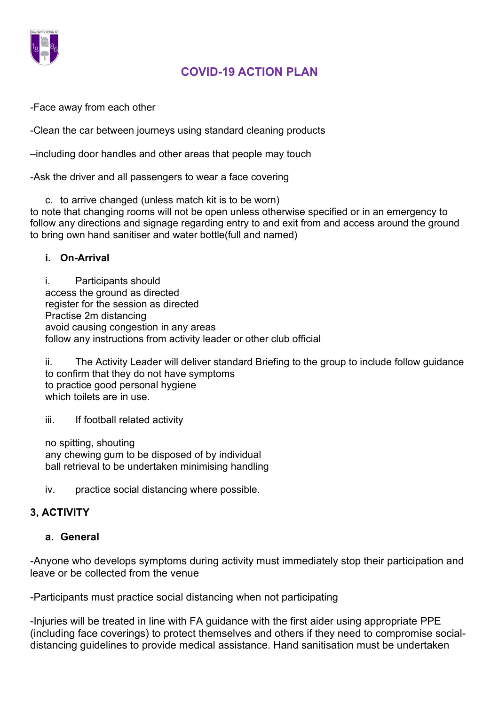

-Face away from each other

-Clean the car between journeys using standard cleaning products

–including door handles and other areas that people may touch

-Ask the driver and all passengers to wear a face covering

c. to arrive changed (unless match kit is to be worn) to note that changing rooms will not be open unless otherwise specified or in an emergency to follow any directions and signage regarding entry to and exit from and access around the ground to bring own hand sanitiser and water bottle(full and named)

#### i. On-Arrival

i. Participants should access the ground as directed register for the session as directed Practise 2m distancing avoid causing congestion in any areas follow any instructions from activity leader or other club official

ii. The Activity Leader will deliver standard Briefing to the group to include follow guidance to confirm that they do not have symptoms to practice good personal hygiene which toilets are in use.

iii. If football related activity

no spitting, shouting any chewing gum to be disposed of by individual ball retrieval to be undertaken minimising handling

iv. practice social distancing where possible.

### 3, ACTIVITY

### a. General

-Anyone who develops symptoms during activity must immediately stop their participation and leave or be collected from the venue

-Participants must practice social distancing when not participating

-Injuries will be treated in line with FA guidance with the first aider using appropriate PPE (including face coverings) to protect themselves and others if they need to compromise socialdistancing guidelines to provide medical assistance. Hand sanitisation must be undertaken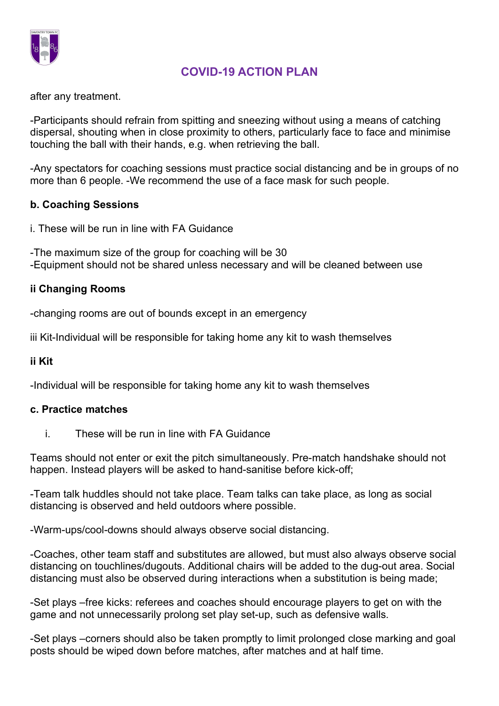

after any treatment.

-Participants should refrain from spitting and sneezing without using a means of catching dispersal, shouting when in close proximity to others, particularly face to face and minimise touching the ball with their hands, e.g. when retrieving the ball.

-Any spectators for coaching sessions must practice social distancing and be in groups of no more than 6 people. -We recommend the use of a face mask for such people.

### b. Coaching Sessions

i. These will be run in line with FA Guidance

-The maximum size of the group for coaching will be 30 -Equipment should not be shared unless necessary and will be cleaned between use

## ii Changing Rooms

-changing rooms are out of bounds except in an emergency

iii Kit-Individual will be responsible for taking home any kit to wash themselves

### ii Kit

-Individual will be responsible for taking home any kit to wash themselves

### c. Practice matches

i. These will be run in line with FA Guidance

Teams should not enter or exit the pitch simultaneously. Pre-match handshake should not happen. Instead players will be asked to hand-sanitise before kick-off;

-Team talk huddles should not take place. Team talks can take place, as long as social distancing is observed and held outdoors where possible.

-Warm-ups/cool-downs should always observe social distancing.

-Coaches, other team staff and substitutes are allowed, but must also always observe social distancing on touchlines/dugouts. Additional chairs will be added to the dug-out area. Social distancing must also be observed during interactions when a substitution is being made;

-Set plays –free kicks: referees and coaches should encourage players to get on with the game and not unnecessarily prolong set play set-up, such as defensive walls.

-Set plays –corners should also be taken promptly to limit prolonged close marking and goal posts should be wiped down before matches, after matches and at half time.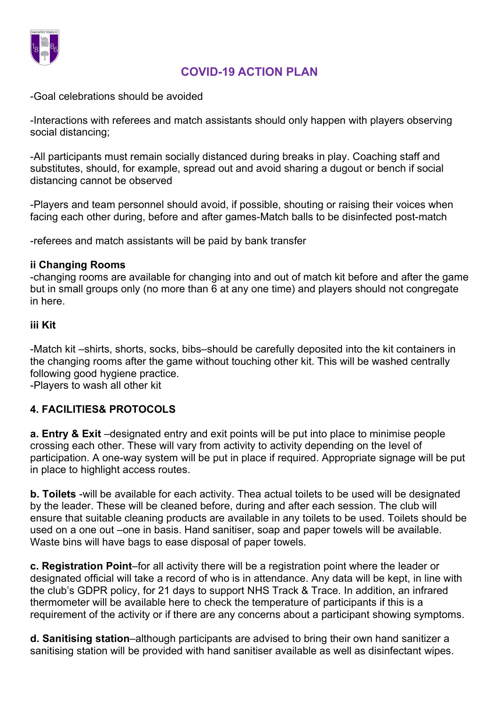

-Goal celebrations should be avoided

-Interactions with referees and match assistants should only happen with players observing social distancing;

-All participants must remain socially distanced during breaks in play. Coaching staff and substitutes, should, for example, spread out and avoid sharing a dugout or bench if social distancing cannot be observed

-Players and team personnel should avoid, if possible, shouting or raising their voices when facing each other during, before and after games-Match balls to be disinfected post-match

-referees and match assistants will be paid by bank transfer

#### ii Changing Rooms

-changing rooms are available for changing into and out of match kit before and after the game but in small groups only (no more than 6 at any one time) and players should not congregate in here.

#### iii Kit

-Match kit –shirts, shorts, socks, bibs–should be carefully deposited into the kit containers in the changing rooms after the game without touching other kit. This will be washed centrally following good hygiene practice.

-Players to wash all other kit

## 4. FACILITIES& PROTOCOLS

a. Entry & Exit –designated entry and exit points will be put into place to minimise people crossing each other. These will vary from activity to activity depending on the level of participation. A one-way system will be put in place if required. Appropriate signage will be put in place to highlight access routes.

b. Toilets -will be available for each activity. Thea actual toilets to be used will be designated by the leader. These will be cleaned before, during and after each session. The club will ensure that suitable cleaning products are available in any toilets to be used. Toilets should be used on a one out –one in basis. Hand sanitiser, soap and paper towels will be available. Waste bins will have bags to ease disposal of paper towels.

c. Registration Point–for all activity there will be a registration point where the leader or designated official will take a record of who is in attendance. Any data will be kept, in line with the club's GDPR policy, for 21 days to support NHS Track & Trace. In addition, an infrared thermometer will be available here to check the temperature of participants if this is a requirement of the activity or if there are any concerns about a participant showing symptoms.

d. Sanitising station–although participants are advised to bring their own hand sanitizer a sanitising station will be provided with hand sanitiser available as well as disinfectant wipes.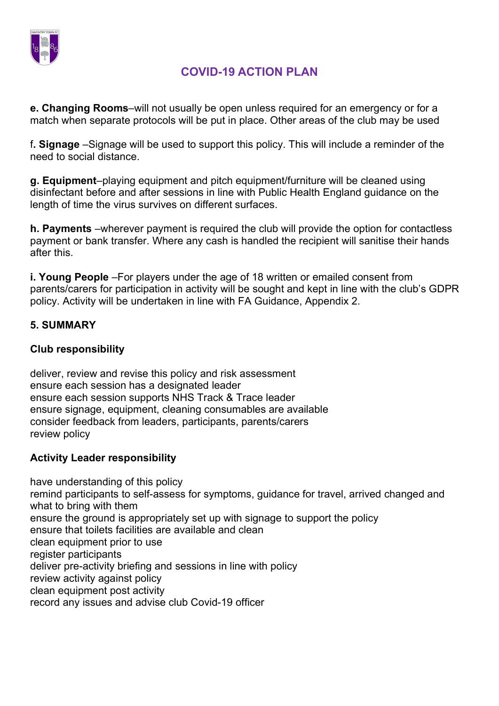

e. Changing Rooms–will not usually be open unless required for an emergency or for a match when separate protocols will be put in place. Other areas of the club may be used

f. Signage –Signage will be used to support this policy. This will include a reminder of the need to social distance.

g. Equipment–playing equipment and pitch equipment/furniture will be cleaned using disinfectant before and after sessions in line with Public Health England guidance on the length of time the virus survives on different surfaces.

h. Payments –wherever payment is required the club will provide the option for contactless payment or bank transfer. Where any cash is handled the recipient will sanitise their hands after this.

i. Young People –For players under the age of 18 written or emailed consent from parents/carers for participation in activity will be sought and kept in line with the club's GDPR policy. Activity will be undertaken in line with FA Guidance, Appendix 2.

## 5. SUMMARY

### Club responsibility

deliver, review and revise this policy and risk assessment ensure each session has a designated leader ensure each session supports NHS Track & Trace leader ensure signage, equipment, cleaning consumables are available consider feedback from leaders, participants, parents/carers review policy

### Activity Leader responsibility

have understanding of this policy remind participants to self-assess for symptoms, guidance for travel, arrived changed and what to bring with them ensure the ground is appropriately set up with signage to support the policy ensure that toilets facilities are available and clean clean equipment prior to use register participants deliver pre-activity briefing and sessions in line with policy review activity against policy clean equipment post activity record any issues and advise club Covid-19 officer